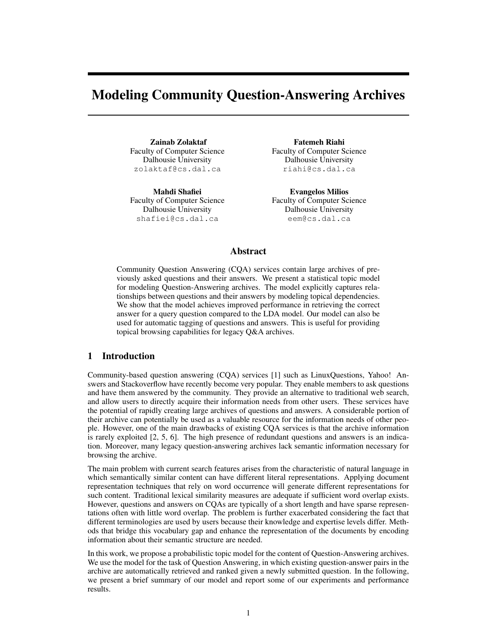# Modeling Community Question-Answering Archives

Zainab Zolaktaf Faculty of Computer Science Dalhousie University zolaktaf@cs.dal.ca

Mahdi Shafiei Faculty of Computer Science Dalhousie University shafiei@cs.dal.ca

Fatemeh Riahi Faculty of Computer Science Dalhousie University riahi@cs.dal.ca

Evangelos Milios Faculty of Computer Science Dalhousie University eem@cs.dal.ca

#### Abstract

Community Question Answering (CQA) services contain large archives of previously asked questions and their answers. We present a statistical topic model for modeling Question-Answering archives. The model explicitly captures relationships between questions and their answers by modeling topical dependencies. We show that the model achieves improved performance in retrieving the correct answer for a query question compared to the LDA model. Our model can also be used for automatic tagging of questions and answers. This is useful for providing topical browsing capabilities for legacy Q&A archives.

# 1 Introduction

Community-based question answering (CQA) services [1] such as LinuxQuestions, Yahoo! Answers and Stackoverflow have recently become very popular. They enable members to ask questions and have them answered by the community. They provide an alternative to traditional web search, and allow users to directly acquire their information needs from other users. These services have the potential of rapidly creating large archives of questions and answers. A considerable portion of their archive can potentially be used as a valuable resource for the information needs of other people. However, one of the main drawbacks of existing CQA services is that the archive information is rarely exploited [2, 5, 6]. The high presence of redundant questions and answers is an indication. Moreover, many legacy question-answering archives lack semantic information necessary for browsing the archive.

The main problem with current search features arises from the characteristic of natural language in which semantically similar content can have different literal representations. Applying document representation techniques that rely on word occurrence will generate different representations for such content. Traditional lexical similarity measures are adequate if sufficient word overlap exists. However, questions and answers on CQAs are typically of a short length and have sparse representations often with little word overlap. The problem is further exacerbated considering the fact that different terminologies are used by users because their knowledge and expertise levels differ. Methods that bridge this vocabulary gap and enhance the representation of the documents by encoding information about their semantic structure are needed.

In this work, we propose a probabilistic topic model for the content of Question-Answering archives. We use the model for the task of Question Answering, in which existing question-answer pairs in the archive are automatically retrieved and ranked given a newly submitted question. In the following, we present a brief summary of our model and report some of our experiments and performance results.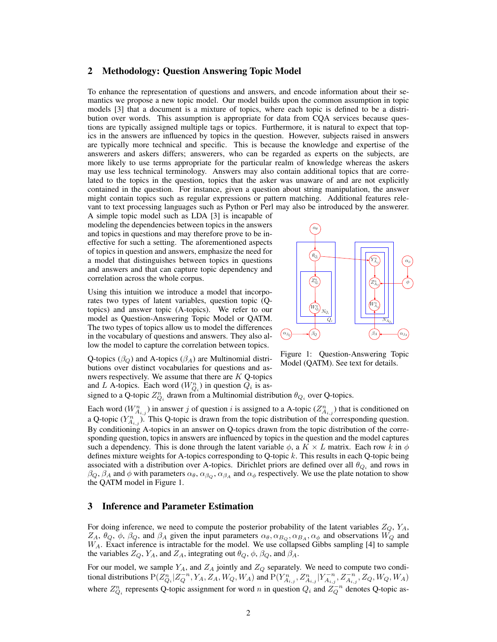#### 2 Methodology: Question Answering Topic Model

To enhance the representation of questions and answers, and encode information about their semantics we propose a new topic model. Our model builds upon the common assumption in topic models [3] that a document is a mixture of topics, where each topic is defined to be a distribution over words. This assumption is appropriate for data from CQA services because questions are typically assigned multiple tags or topics. Furthermore, it is natural to expect that topics in the answers are influenced by topics in the question. However, subjects raised in answers are typically more technical and specific. This is because the knowledge and expertise of the answerers and askers differs; answerers, who can be regarded as experts on the subjects, are more likely to use terms appropriate for the particular realm of knowledge whereas the askers may use less technical terminology. Answers may also contain additional topics that are correlated to the topics in the question, topics that the asker was unaware of and are not explicitly contained in the question. For instance, given a question about string manipulation, the answer might contain topics such as regular expressions or pattern matching. Additional features relevant to text processing languages such as Python or Perl may also be introduced by the answerer.

A simple topic model such as LDA [3] is incapable of modeling the dependencies between topics in the answers and topics in questions and may therefore prove to be ineffective for such a setting. The aforementioned aspects of topics in question and answers, emphasize the need for a model that distinguishes between topics in questions and answers and that can capture topic dependency and correlation across the whole corpus.

Using this intuition we introduce a model that incorporates two types of latent variables, question topic (Qtopics) and answer topic (A-topics). We refer to our model as Question-Answering Topic Model or QATM. The two types of topics allow us to model the differences in the vocabulary of questions and answers. They also allow the model to capture the correlation between topics.

 $\alpha_{\theta}$  $\theta_{Q_i}$  $Z_{O_i}^n$  $n \setminus$  $Q_i$  )  $W_{O_i}^n$  $Q_i$  $\beta_O$  $W_{A}^{n}$ Aij  $Z_{A}^{n}$ n \  $A_{ij}$  $Y_{A_{zz}}^n$  $n \setminus$ Aij φ  $\beta_A$  and  $\alpha_{\beta_A}$  $\alpha_{\phi}$ )  $\overline{O}$  $N_{Q_i}$  $N_{A_{Q_i}}$ 

Q-topics ( $\beta$ <sub>O</sub>) and A-topics ( $\beta$ <sub>A</sub>) are Multinomial distributions over distinct vocabularies for questions and asnwers respectively. We assume that there are  $K$  Q-topics and L A-topics. Each word  $(W_{Q_i}^n)$  in question  $Q_i$  is as-

Figure 1: Question-Answering Topic Model (QATM). See text for details.

signed to a Q-topic  $Z_{Q_i}^n$  drawn from a Multinomial distribution  $\theta_{Q_i}$  over Q-topics.

Each word  $(W_{A_{i,j}}^n)$  in answer j of question i is assigned to a A-topic  $(Z_{A_{i,j}}^n)$  that is conditioned on a Q-topic  $(Y_{A_{i,j}}^n)$ . This Q-topic is drawn from the topic distribution of the corresponding question. By conditioning A-topics in an answer on Q-topics drawn from the topic distribution of the corresponding question, topics in answers are influenced by topics in the question and the model captures such a dependency. This is done through the latent variable  $\phi$ , a  $K \times L$  matrix. Each row k in  $\phi$ defines mixture weights for A-topics corresponding to Q-topic  $k$ . This results in each Q-topic being associated with a distribution over A-topics. Dirichlet priors are defined over all  $\theta_{Q_i}$  and rows in  $\beta_Q$ ,  $\beta_A$  and  $\phi$  with parameters  $\alpha_\theta$ ,  $\alpha_{\beta_Q}$ ,  $\alpha_{\beta_A}$  and  $\alpha_\phi$  respectively. We use the plate notation to show the QATM model in Figure 1.

#### 3 Inference and Parameter Estimation

For doing inference, we need to compute the posterior probability of the latent variables  $Z_Q$ ,  $Y_A$ ,  $Z_A$ ,  $\theta_Q$ ,  $\phi$ ,  $\beta_Q$ , and  $\beta_A$  given the input parameters  $\alpha_{\theta}$ ,  $\alpha_{B_Q}$ ,  $\alpha_{B_A}$ ,  $\alpha_{\phi}$  and observations  $W_Q$  and  $W_A$ . Exact inference is intractable for the model. We use collapsed Gibbs sampling [4] to sample the variables  $Z_Q$ ,  $Y_A$ , and  $Z_A$ , integrating out  $\theta_Q$ ,  $\phi$ ,  $\beta_Q$ , and  $\beta_A$ .

For our model, we sample  $Y_A$ , and  $Z_A$  jointly and  $Z_Q$  separately. We need to compute two conditional distributions  $P(Z_{Q_i}^n | Z_Q^{-n}, Y_A, Z_A, W_Q, W_A)$  and  $P(Y_{A_{i,j}}^n, Z_{A_{i,j}}^n | Y_{A_{i,j}}^{-n}, Z_{A_{i,j}}^{-n}, Z_Q, W_Q, W_A)$ where  $Z_{Q_i}^n$  represents Q-topic assignment for word n in question  $Q_i$  and  $Z_Q^{-n}$  denotes Q-topic as-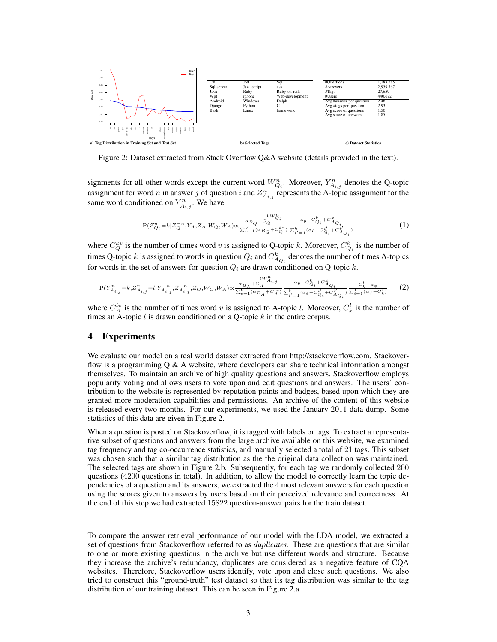

Figure 2: Dataset extracted from Stack Overflow Q&A website (details provided in the text).

signments for all other words except the current word  $W_{Q_i}^n$ . Moreover,  $Y_{A_{i,j}}^n$  denotes the Q-topic assignment for word *n* in answer *j* of question *i* and  $Z_{A_{i,j}}^n$  represents the A-topic assignment for the same word conditioned on  $Y_{A_{i,j}}^n$ . We have

$$
P(Z_{Q_i}^n = k | Z_Q^{-n}, Y_A, Z_A, W_Q, W_A) \propto \frac{\alpha_{B_Q} + c_Q^{kW_{Q_i}^n}}{\sum_{v=1}^V (\alpha_{B_Q} + C_Q^{kv})} \frac{\alpha_{\theta} + c_{Q_i}^k + c_{A_{Q_i}}^k}{\sum_{i'=1}^k (\alpha_{\theta} + C_{Q_i}^{i'} + C_{A_{Q_i}}^i)} \tag{1}
$$

where  $C_{Q}^{kv}$  is the number of times word v is assigned to Q-topic k. Moreover,  $C_{Q_i}^k$  is the number of times Q-topic k is assigned to words in question  $Q_i$  and  $C_{A_{Q_i}}^k$  denotes the number of times A-topics for words in the set of answers for question  $Q_i$  are drawn conditioned on Q-topic k.

$$
P(Y_{A_{i,j}}^{n} = k, Z_{A_{i,j}}^{n} = l | Y_{A_{i,j}}^{-n}, Z_{A_{i,j}}^{-n}, Z_Q, W_Q, W_A) \propto \frac{\alpha_{B_A} + C_A^{W_{A_{i,j}}}}{\sum_{v=1}^{V} (\alpha_{B_A} + C_A^{l_v})} \frac{\alpha_{\theta} + C_Q^k + C_Q^k}{\sum_{i'=1}^{k} (\alpha_{\theta} + C_Q^{i'} + C_A^{i'} Q_i)} \frac{C_k^l + \alpha_{\phi}}{\sum_{i=1}^{L} (\alpha_{\phi} + C_Q^{i'})} \tag{2}
$$

where  $C_A^{lv}$  is the number of times word v is assigned to A-topic l. Moreover,  $C_k^l$  is the number of times an A-topic  $l$  is drawn conditioned on a Q-topic  $k$  in the entire corpus.

#### 4 Experiments

We evaluate our model on a real world dataset extracted from http://stackoverflow.com. Stackoverflow is a programming  $Q \& A$  website, where developers can share technical information amongst themselves. To maintain an archive of high quality questions and answers, Stackoverflow employs popularity voting and allows users to vote upon and edit questions and answers. The users' contribution to the website is represented by reputation points and badges, based upon which they are granted more moderation capabilities and permissions. An archive of the content of this website is released every two months. For our experiments, we used the January 2011 data dump. Some statistics of this data are given in Figure 2.

When a question is posted on Stackoverflow, it is tagged with labels or tags. To extract a representative subset of questions and answers from the large archive available on this website, we examined tag frequency and tag co-occurrence statistics, and manually selected a total of 21 tags. This subset was chosen such that a similar tag distribution as the the original data collection was maintained. The selected tags are shown in Figure 2.b. Subsequently, for each tag we randomly collected 200 questions (4200 questions in total). In addition, to allow the model to correctly learn the topic dependencies of a question and its answers, we extracted the 4 most relevant answers for each question using the scores given to answers by users based on their perceived relevance and correctness. At the end of this step we had extracted 15822 question-answer pairs for the train dataset.

To compare the answer retrieval performance of our model with the LDA model, we extracted a set of questions from Stackoverflow referred to as *duplicates*. These are questions that are similar to one or more existing questions in the archive but use different words and structure. Because they increase the archive's redundancy, duplicates are considered as a negative feature of CQA websites. Therefore, Stackoverflow users identify, vote upon and close such questions. We also tried to construct this "ground-truth" test dataset so that its tag distribution was similar to the tag distribution of our training dataset. This can be seen in Figure 2.a.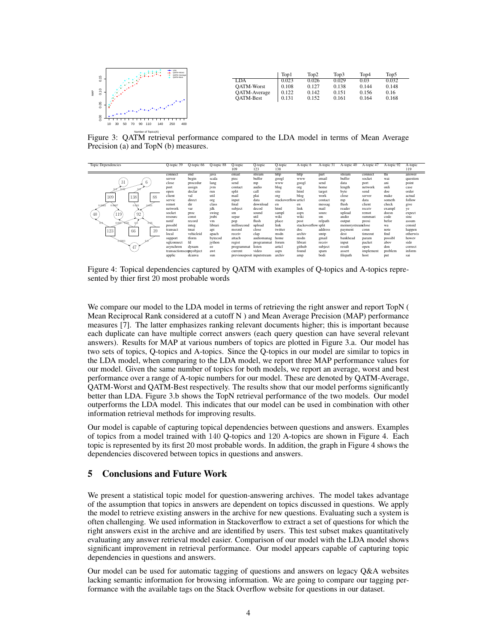

|                     | Top1  | Top2  | Top3  | Top4  | Top5  |
|---------------------|-------|-------|-------|-------|-------|
| LDA                 | 0.023 | 0.026 | 0.029 | 0.03  | 0.032 |
| <b>OATM-Worst</b>   | 0.108 | 0.127 | 0.138 | 0.144 | 0.148 |
| <b>OATM-Average</b> | 0.122 | 0.142 | 0.151 | 0.156 | 0.16  |
| <b>OATM-Best</b>    | 0.131 | 0.152 | 0.161 | 0.164 | 0.168 |
|                     |       |       |       |       |       |

Figure 3: QATM retrieval performance compared to the LDA model in terms of Mean Average Precision (a) and TopN (b) measures.



Figure 4: Topical dependencies captured by QATM with examples of Q-topics and A-topics represented by thier first 20 most probable words

We compare our model to the LDA model in terms of retrieving the right answer and report TopN ( Mean Reciprocal Rank considered at a cutoff N ) and Mean Average Precision (MAP) performance measures [7]. The latter emphasizes ranking relevant documents higher; this is important because each duplicate can have multiple correct answers (each query question can have several relevant answers). Results for MAP at various numbers of topics are plotted in Figure 3.a. Our model has two sets of topics, Q-topics and A-topics. Since the Q-topics in our model are similar to topics in the LDA model, when comparing to the LDA model, we report three MAP performance values for our model. Given the same number of topics for both models, we report an average, worst and best performance over a range of A-topic numbers for our model. These are denoted by QATM-Average, QATM-Worst and QATM-Best respectively. The results show that our model performs significantly better than LDA. Figure 3.b shows the TopN retrieval performance of the two models. Our model outperforms the LDA model. This indicates that our model can be used in combination with other information retrieval methods for improving results.

Our model is capable of capturing topical dependencies between questions and answers. Examples of topics from a model trained with 140 Q-topics and 120 A-topics are shown in Figure 4. Each topic is represented by its first 20 most probable words. In addition, the graph in Figure 4 shows the dependencies discovered between topics in questions and answers.

## 5 Conclusions and Future Work

We present a statistical topic model for question-answering archives. The model takes advantage of the assumption that topics in answers are dependent on topics discussed in questions. We apply the model to retrieve existing answers in the archive for new questions. Evaluating such a system is often challenging. We used information in Stackoverflow to extract a set of questions for which the right answers exist in the archive and are identified by users. This test subset makes quantitatively evaluating any answer retrieval model easier. Comparison of our model with the LDA model shows significant improvement in retrieval performance. Our model appears capable of capturing topic dependencies in questions and answers.

Our model can be used for automatic tagging of questions and answers on legacy Q&A websites lacking semantic information for browsing information. We are going to compare our tagging performance with the available tags on the Stack Overflow website for questions in our dataset.